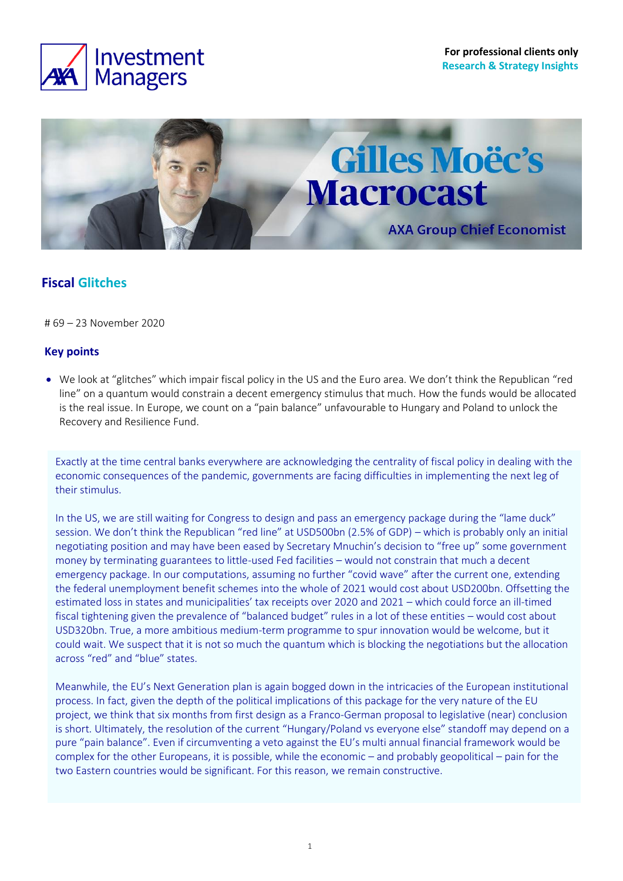



## **Fiscal Glitches**

# 69 – 23 November 2020

### **Key points**

• We look at "glitches" which impair fiscal policy in the US and the Euro area. We don't think the Republican "red line" on a quantum would constrain a decent emergency stimulus that much. How the funds would be allocated is the real issue. In Europe, we count on a "pain balance" unfavourable to Hungary and Poland to unlock the Recovery and Resilience Fund.

Exactly at the time central banks everywhere are acknowledging the centrality of fiscal policy in dealing with the economic consequences of the pandemic, governments are facing difficulties in implementing the next leg of their stimulus.

In the US, we are still waiting for Congress to design and pass an emergency package during the "lame duck" session. We don't think the Republican "red line" at USD500bn (2.5% of GDP) – which is probably only an initial negotiating position and may have been eased by Secretary Mnuchin's decision to "free up" some government money by terminating guarantees to little-used Fed facilities – would not constrain that much a decent emergency package. In our computations, assuming no further "covid wave" after the current one, extending the federal unemployment benefit schemes into the whole of 2021 would cost about USD200bn. Offsetting the estimated loss in states and municipalities' tax receipts over 2020 and 2021 – which could force an ill-timed fiscal tightening given the prevalence of "balanced budget" rules in a lot of these entities – would cost about USD320bn. True, a more ambitious medium-term programme to spur innovation would be welcome, but it could wait. We suspect that it is not so much the quantum which is blocking the negotiations but the allocation across "red" and "blue" states.

Meanwhile, the EU's Next Generation plan is again bogged down in the intricacies of the European institutional process. In fact, given the depth of the political implications of this package for the very nature of the EU project, we think that six months from first design as a Franco-German proposal to legislative (near) conclusion is short. Ultimately, the resolution of the current "Hungary/Poland vs everyone else" standoff may depend on a pure "pain balance". Even if circumventing a veto against the EU's multi annual financial framework would be complex for the other Europeans, it is possible, while the economic – and probably geopolitical – pain for the two Eastern countries would be significant. For this reason, we remain constructive.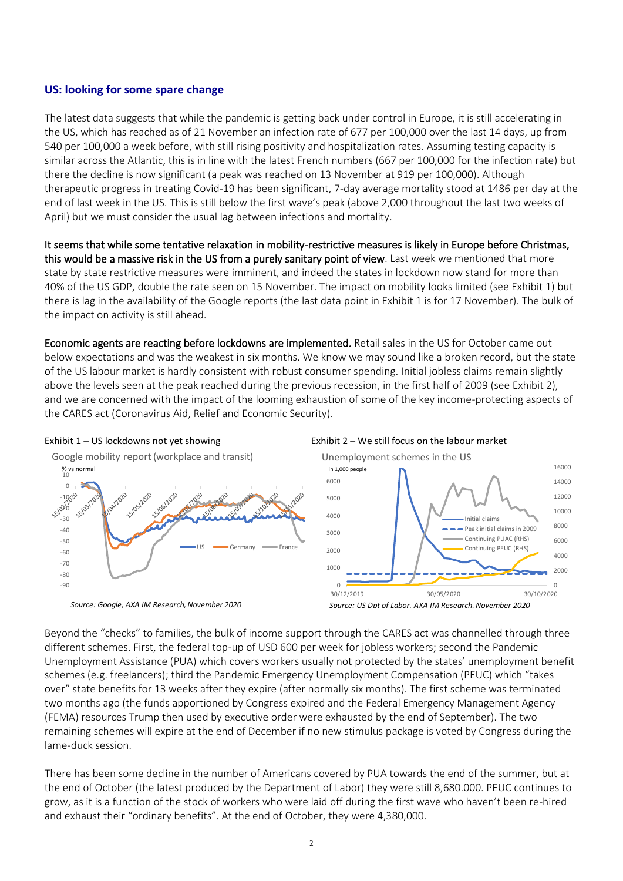#### **US: looking for some spare change**

The latest data suggests that while the pandemic is getting back under control in Europe, it is still accelerating in the US, which has reached as of 21 November an infection rate of 677 per 100,000 over the last 14 days, up from 540 per 100,000 a week before, with still rising positivity and hospitalization rates. Assuming testing capacity is similar across the Atlantic, this is in line with the latest French numbers (667 per 100,000 for the infection rate) but there the decline is now significant (a peak was reached on 13 November at 919 per 100,000). Although therapeutic progress in treating Covid-19 has been significant, 7-day average mortality stood at 1486 per day at the end of last week in the US. This is still below the first wave's peak (above 2,000 throughout the last two weeks of April) but we must consider the usual lag between infections and mortality.

It seems that while some tentative relaxation in mobility-restrictive measures is likely in Europe before Christmas, this would be a massive risk in the US from a purely sanitary point of view. Last week we mentioned that more state by state restrictive measures were imminent, and indeed the states in lockdown now stand for more than 40% of the US GDP, double the rate seen on 15 November. The impact on mobility looks limited (see Exhibit 1) but there is lag in the availability of the Google reports (the last data point in Exhibit 1 is for 17 November). The bulk of the impact on activity is still ahead.

Economic agents are reacting before lockdowns are implemented. Retail sales in the US for October came out below expectations and was the weakest in six months. We know we may sound like a broken record, but the state of the US labour market is hardly consistent with robust consumer spending. Initial jobless claims remain slightly above the levels seen at the peak reached during the previous recession, in the first half of 2009 (see Exhibit 2), and we are concerned with the impact of the looming exhaustion of some of the key income-protecting aspects of the CARES act (Coronavirus Aid, Relief and Economic Security).



*Source: Google, AXA IM Research, November 2020*





Beyond the "checks" to families, the bulk of income support through the CARES act was channelled through three different schemes. First, the federal top-up of USD 600 per week for jobless workers; second the Pandemic Unemployment Assistance (PUA) which covers workers usually not protected by the states' unemployment benefit schemes (e.g. freelancers); third the Pandemic Emergency Unemployment Compensation (PEUC) which "takes

over" state benefits for 13 weeks after they expire (after normally six months). The first scheme was terminated two months ago (the funds apportioned by Congress expired and the Federal Emergency Management Agency (FEMA) resources Trump then used by executive order were exhausted by the end of September). The two remaining schemes will expire at the end of December if no new stimulus package is voted by Congress during the lame-duck session.

There has been some decline in the number of Americans covered by PUA towards the end of the summer, but at the end of October (the latest produced by the Department of Labor) they were still 8,680.000. PEUC continues to grow, as it is a function of the stock of workers who were laid off during the first wave who haven't been re-hired and exhaust their "ordinary benefits". At the end of October, they were 4,380,000.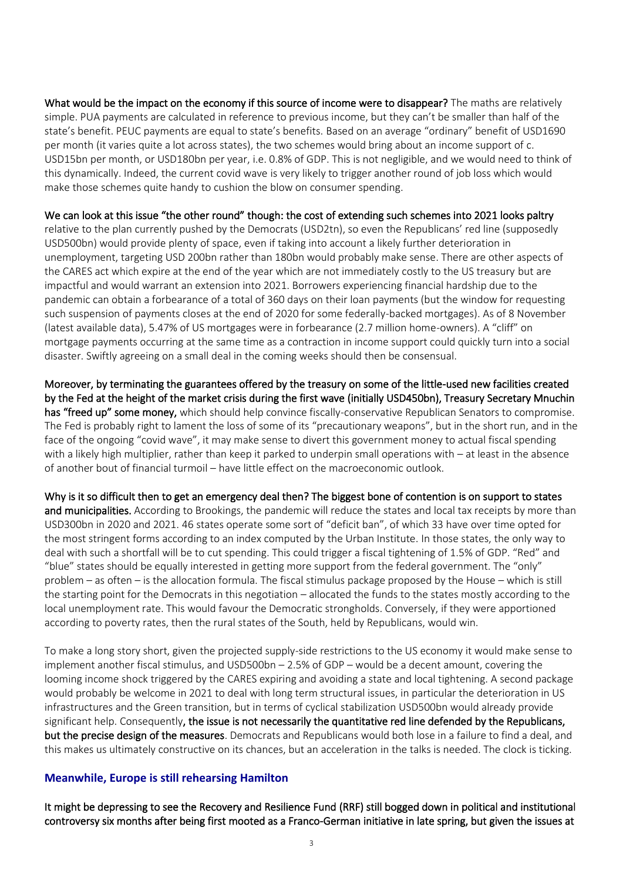What would be the impact on the economy if this source of income were to disappear? The maths are relatively simple. PUA payments are calculated in reference to previous income, but they can't be smaller than half of the state's benefit. PEUC payments are equal to state's benefits. Based on an average "ordinary" benefit of USD1690 per month (it varies quite a lot across states), the two schemes would bring about an income support of c. USD15bn per month, or USD180bn per year, i.e. 0.8% of GDP. This is not negligible, and we would need to think of this dynamically. Indeed, the current covid wave is very likely to trigger another round of job loss which would make those schemes quite handy to cushion the blow on consumer spending.

#### We can look at this issue "the other round" though: the cost of extending such schemes into 2021 looks paltry

relative to the plan currently pushed by the Democrats (USD2tn), so even the Republicans' red line (supposedly USD500bn) would provide plenty of space, even if taking into account a likely further deterioration in unemployment, targeting USD 200bn rather than 180bn would probably make sense. There are other aspects of the CARES act which expire at the end of the year which are not immediately costly to the US treasury but are impactful and would warrant an extension into 2021. Borrowers experiencing financial hardship due to the pandemic can obtain a forbearance of a total of 360 days on their loan payments (but the window for requesting such suspension of payments closes at the end of 2020 for some federally-backed mortgages). As of 8 November (latest available data), 5.47% of US mortgages were in forbearance (2.7 million home-owners). A "cliff" on mortgage payments occurring at the same time as a contraction in income support could quickly turn into a social disaster. Swiftly agreeing on a small deal in the coming weeks should then be consensual.

Moreover, by terminating the guarantees offered by the treasury on some of the little-used new facilities created by the Fed at the height of the market crisis during the first wave (initially USD450bn), Treasury Secretary Mnuchin has "freed up" some money, which should help convince fiscally-conservative Republican Senators to compromise. The Fed is probably right to lament the loss of some of its "precautionary weapons", but in the short run, and in the face of the ongoing "covid wave", it may make sense to divert this government money to actual fiscal spending with a likely high multiplier, rather than keep it parked to underpin small operations with – at least in the absence of another bout of financial turmoil – have little effect on the macroeconomic outlook.

Why is it so difficult then to get an emergency deal then? The biggest bone of contention is on support to states and municipalities. According to Brookings, the pandemic will reduce the states and local tax receipts by more than USD300bn in 2020 and 2021. 46 states operate some sort of "deficit ban", of which 33 have over time opted for the most stringent forms according to an index computed by the Urban Institute. In those states, the only way to deal with such a shortfall will be to cut spending. This could trigger a fiscal tightening of 1.5% of GDP. "Red" and "blue" states should be equally interested in getting more support from the federal government. The "only" problem – as often – is the allocation formula. The fiscal stimulus package proposed by the House – which is still the starting point for the Democrats in this negotiation – allocated the funds to the states mostly according to the local unemployment rate. This would favour the Democratic strongholds. Conversely, if they were apportioned according to poverty rates, then the rural states of the South, held by Republicans, would win.

To make a long story short, given the projected supply-side restrictions to the US economy it would make sense to implement another fiscal stimulus, and USD500bn – 2.5% of GDP – would be a decent amount, covering the looming income shock triggered by the CARES expiring and avoiding a state and local tightening. A second package would probably be welcome in 2021 to deal with long term structural issues, in particular the deterioration in US infrastructures and the Green transition, but in terms of cyclical stabilization USD500bn would already provide significant help. Consequently, the issue is not necessarily the quantitative red line defended by the Republicans, but the precise design of the measures. Democrats and Republicans would both lose in a failure to find a deal, and this makes us ultimately constructive on its chances, but an acceleration in the talks is needed. The clock is ticking.

#### **Meanwhile, Europe is still rehearsing Hamilton**

It might be depressing to see the Recovery and Resilience Fund (RRF) still bogged down in political and institutional controversy six months after being first mooted as a Franco-German initiative in late spring, but given the issues at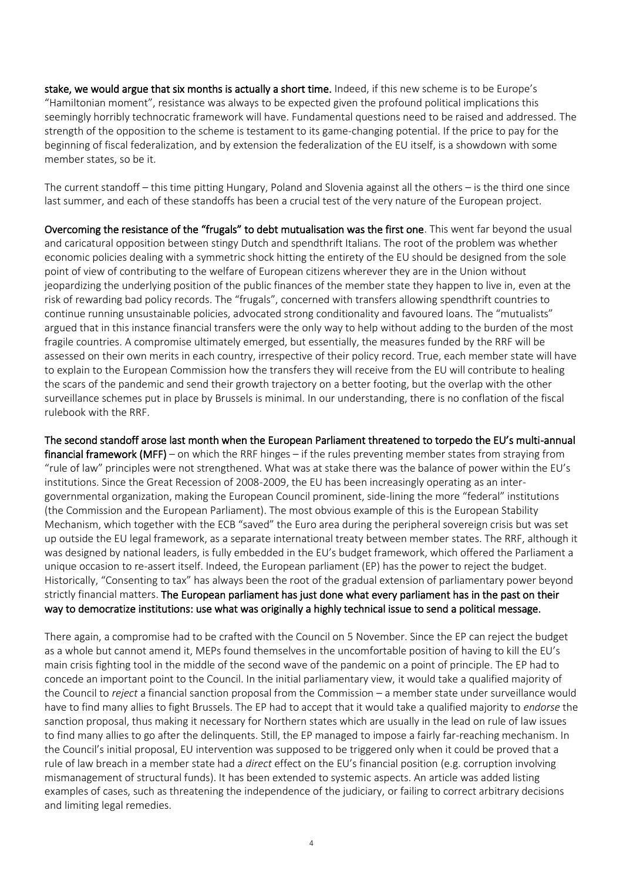stake, we would argue that six months is actually a short time. Indeed, if this new scheme is to be Europe's "Hamiltonian moment", resistance was always to be expected given the profound political implications this seemingly horribly technocratic framework will have. Fundamental questions need to be raised and addressed. The strength of the opposition to the scheme is testament to its game-changing potential. If the price to pay for the beginning of fiscal federalization, and by extension the federalization of the EU itself, is a showdown with some member states, so be it.

The current standoff – this time pitting Hungary, Poland and Slovenia against all the others – is the third one since last summer, and each of these standoffs has been a crucial test of the very nature of the European project.

Overcoming the resistance of the "frugals" to debt mutualisation was the first one. This went far beyond the usual and caricatural opposition between stingy Dutch and spendthrift Italians. The root of the problem was whether economic policies dealing with a symmetric shock hitting the entirety of the EU should be designed from the sole point of view of contributing to the welfare of European citizens wherever they are in the Union without jeopardizing the underlying position of the public finances of the member state they happen to live in, even at the risk of rewarding bad policy records. The "frugals", concerned with transfers allowing spendthrift countries to continue running unsustainable policies, advocated strong conditionality and favoured loans. The "mutualists" argued that in this instance financial transfers were the only way to help without adding to the burden of the most fragile countries. A compromise ultimately emerged, but essentially, the measures funded by the RRF will be assessed on their own merits in each country, irrespective of their policy record. True, each member state will have to explain to the European Commission how the transfers they will receive from the EU will contribute to healing the scars of the pandemic and send their growth trajectory on a better footing, but the overlap with the other surveillance schemes put in place by Brussels is minimal. In our understanding, there is no conflation of the fiscal rulebook with the RRF.

The second standoff arose last month when the European Parliament threatened to torpedo the EU's multi-annual financial framework (MFF) – on which the RRF hinges – if the rules preventing member states from straying from "rule of law" principles were not strengthened. What was at stake there was the balance of power within the EU's institutions. Since the Great Recession of 2008-2009, the EU has been increasingly operating as an intergovernmental organization, making the European Council prominent, side-lining the more "federal" institutions (the Commission and the European Parliament). The most obvious example of this is the European Stability Mechanism, which together with the ECB "saved" the Euro area during the peripheral sovereign crisis but was set up outside the EU legal framework, as a separate international treaty between member states. The RRF, although it was designed by national leaders, is fully embedded in the EU's budget framework, which offered the Parliament a unique occasion to re-assert itself. Indeed, the European parliament (EP) has the power to reject the budget. Historically, "Consenting to tax" has always been the root of the gradual extension of parliamentary power beyond strictly financial matters. The European parliament has just done what every parliament has in the past on their way to democratize institutions: use what was originally a highly technical issue to send a political message.

There again, a compromise had to be crafted with the Council on 5 November. Since the EP can reject the budget as a whole but cannot amend it, MEPs found themselves in the uncomfortable position of having to kill the EU's main crisis fighting tool in the middle of the second wave of the pandemic on a point of principle. The EP had to concede an important point to the Council. In the initial parliamentary view, it would take a qualified majority of the Council to *reject* a financial sanction proposal from the Commission – a member state under surveillance would have to find many allies to fight Brussels. The EP had to accept that it would take a qualified majority to *endorse* the sanction proposal, thus making it necessary for Northern states which are usually in the lead on rule of law issues to find many allies to go after the delinquents. Still, the EP managed to impose a fairly far-reaching mechanism. In the Council's initial proposal, EU intervention was supposed to be triggered only when it could be proved that a rule of law breach in a member state had a *direct* effect on the EU's financial position (e.g. corruption involving mismanagement of structural funds). It has been extended to systemic aspects. An article was added listing examples of cases, such as threatening the independence of the judiciary, or failing to correct arbitrary decisions and limiting legal remedies.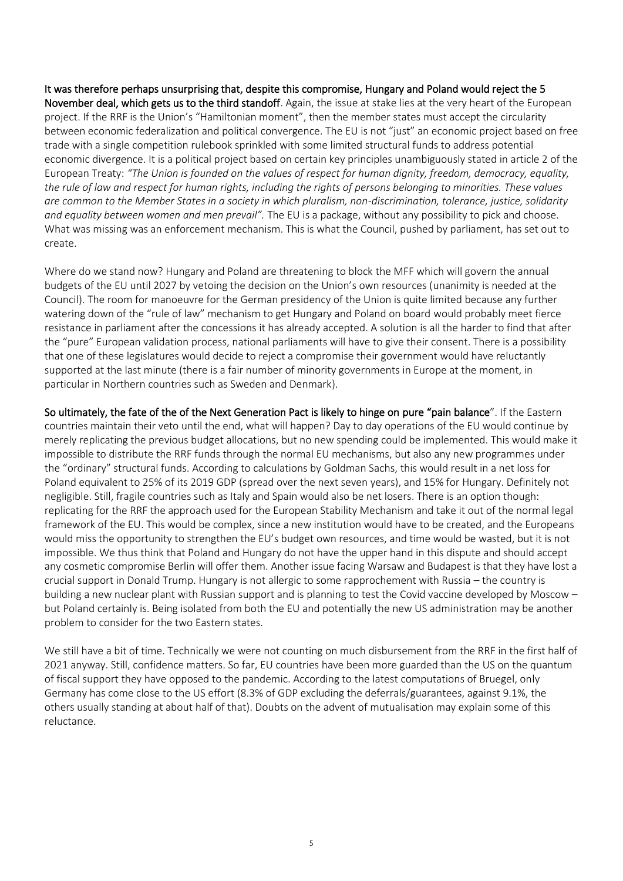It was therefore perhaps unsurprising that, despite this compromise, Hungary and Poland would reject the 5 November deal, which gets us to the third standoff. Again, the issue at stake lies at the very heart of the European project. If the RRF is the Union's "Hamiltonian moment", then the member states must accept the circularity between economic federalization and political convergence. The EU is not "just" an economic project based on free trade with a single competition rulebook sprinkled with some limited structural funds to address potential economic divergence. It is a political project based on certain key principles unambiguously stated in article 2 of the European Treaty: *"The Union is founded on the values of respect for human dignity, freedom, democracy, equality, the rule of law and respect for human rights, including the rights of persons belonging to minorities. These values are common to the Member States in a society in which pluralism, non-discrimination, tolerance, justice, solidarity and equality between women and men prevail".* The EU is a package, without any possibility to pick and choose. What was missing was an enforcement mechanism. This is what the Council, pushed by parliament, has set out to create.

Where do we stand now? Hungary and Poland are threatening to block the MFF which will govern the annual budgets of the EU until 2027 by vetoing the decision on the Union's own resources (unanimity is needed at the Council). The room for manoeuvre for the German presidency of the Union is quite limited because any further watering down of the "rule of law" mechanism to get Hungary and Poland on board would probably meet fierce resistance in parliament after the concessions it has already accepted. A solution is all the harder to find that after the "pure" European validation process, national parliaments will have to give their consent. There is a possibility that one of these legislatures would decide to reject a compromise their government would have reluctantly supported at the last minute (there is a fair number of minority governments in Europe at the moment, in particular in Northern countries such as Sweden and Denmark).

So ultimately, the fate of the of the Next Generation Pact is likely to hinge on pure "pain balance". If the Eastern countries maintain their veto until the end, what will happen? Day to day operations of the EU would continue by merely replicating the previous budget allocations, but no new spending could be implemented. This would make it impossible to distribute the RRF funds through the normal EU mechanisms, but also any new programmes under the "ordinary" structural funds. According to calculations by Goldman Sachs, this would result in a net loss for Poland equivalent to 25% of its 2019 GDP (spread over the next seven years), and 15% for Hungary. Definitely not negligible. Still, fragile countries such as Italy and Spain would also be net losers. There is an option though: replicating for the RRF the approach used for the European Stability Mechanism and take it out of the normal legal framework of the EU. This would be complex, since a new institution would have to be created, and the Europeans would miss the opportunity to strengthen the EU's budget own resources, and time would be wasted, but it is not impossible. We thus think that Poland and Hungary do not have the upper hand in this dispute and should accept any cosmetic compromise Berlin will offer them. Another issue facing Warsaw and Budapest is that they have lost a crucial support in Donald Trump. Hungary is not allergic to some rapprochement with Russia – the country is building a new nuclear plant with Russian support and is planning to test the Covid vaccine developed by Moscow – but Poland certainly is. Being isolated from both the EU and potentially the new US administration may be another problem to consider for the two Eastern states.

We still have a bit of time. Technically we were not counting on much disbursement from the RRF in the first half of 2021 anyway. Still, confidence matters. So far, EU countries have been more guarded than the US on the quantum of fiscal support they have opposed to the pandemic. According to the latest computations of Bruegel, only Germany has come close to the US effort (8.3% of GDP excluding the deferrals/guarantees, against 9.1%, the others usually standing at about half of that). Doubts on the advent of mutualisation may explain some of this reluctance.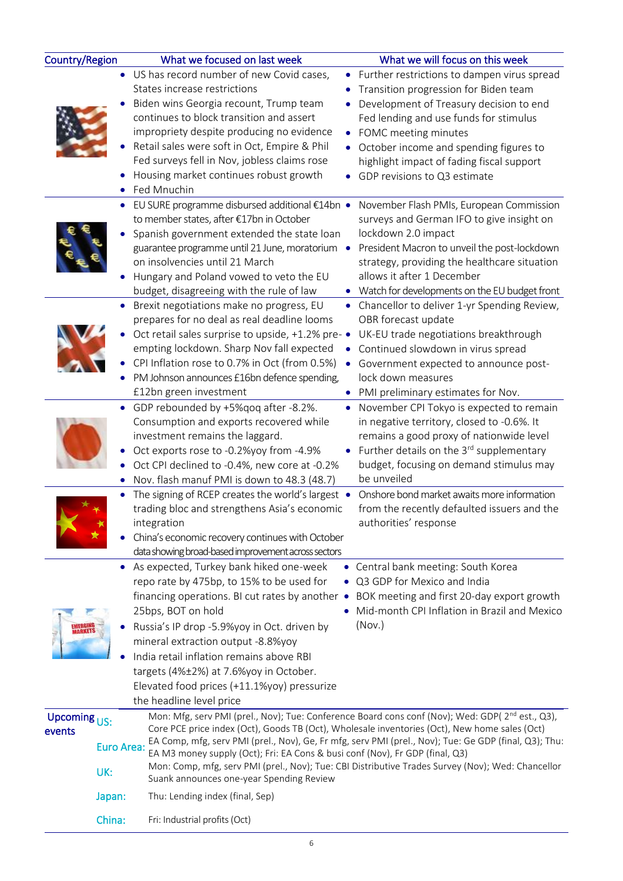| Country/Region                                                   |                  | What we focused on last week                                                                                                                                                                                                                                                                                                                                                                                                                                                                                                                           |           | What we will focus on this week                                                                                                                                                                                                                                                                                                            |  |
|------------------------------------------------------------------|------------------|--------------------------------------------------------------------------------------------------------------------------------------------------------------------------------------------------------------------------------------------------------------------------------------------------------------------------------------------------------------------------------------------------------------------------------------------------------------------------------------------------------------------------------------------------------|-----------|--------------------------------------------------------------------------------------------------------------------------------------------------------------------------------------------------------------------------------------------------------------------------------------------------------------------------------------------|--|
|                                                                  |                  | • US has record number of new Covid cases,<br>States increase restrictions<br>Biden wins Georgia recount, Trump team<br>continues to block transition and assert<br>impropriety despite producing no evidence<br>Retail sales were soft in Oct, Empire & Phil<br>Fed surveys fell in Nov, jobless claims rose<br>Housing market continues robust growth<br>Fed Mnuchin                                                                                                                                                                                 | ٠<br>٠    | Further restrictions to dampen virus spread<br>Transition progression for Biden team<br>Development of Treasury decision to end<br>Fed lending and use funds for stimulus<br>FOMC meeting minutes<br>October income and spending figures to<br>highlight impact of fading fiscal support<br>GDP revisions to Q3 estimate                   |  |
|                                                                  | ٠<br>٠           | EU SURE programme disbursed additional €14bn •<br>to member states, after €17bn in October<br>Spanish government extended the state loan<br>guarantee programme until 21 June, moratorium .<br>on insolvencies until 21 March<br>Hungary and Poland vowed to veto the EU<br>budget, disagreeing with the rule of law<br>Brexit negotiations make no progress, EU                                                                                                                                                                                       |           | November Flash PMIs, European Commission<br>surveys and German IFO to give insight on<br>lockdown 2.0 impact<br>President Macron to unveil the post-lockdown<br>strategy, providing the healthcare situation<br>allows it after 1 December<br>Watch for developments on the EU budget front<br>Chancellor to deliver 1-yr Spending Review, |  |
|                                                                  |                  | prepares for no deal as real deadline looms<br>Oct retail sales surprise to upside, +1.2% pre- •<br>empting lockdown. Sharp Nov fall expected<br>CPI Inflation rose to 0.7% in Oct (from 0.5%)<br>PM Johnson announces £16bn defence spending,<br>£12bn green investment                                                                                                                                                                                                                                                                               | $\bullet$ | OBR forecast update<br>UK-EU trade negotiations breakthrough<br>Continued slowdown in virus spread<br>Government expected to announce post-<br>lock down measures<br>PMI preliminary estimates for Nov.                                                                                                                                    |  |
|                                                                  |                  | • GDP rebounded by +5% qoq after -8.2%.<br>Consumption and exports recovered while<br>investment remains the laggard.<br>Oct exports rose to -0.2%yoy from -4.9%<br>Oct CPI declined to -0.4%, new core at -0.2%<br>Nov. flash manuf PMI is down to 48.3 (48.7)                                                                                                                                                                                                                                                                                        | ٠         | November CPI Tokyo is expected to remain<br>in negative territory, closed to -0.6%. It<br>remains a good proxy of nationwide level<br>Further details on the 3rd supplementary<br>budget, focusing on demand stimulus may<br>be unveiled                                                                                                   |  |
|                                                                  |                  | The signing of RCEP creates the world's largest •<br>trading bloc and strengthens Asia's economic<br>integration<br>China's economic recovery continues with October<br>data showing broad-based improvement across sectors                                                                                                                                                                                                                                                                                                                            |           | Onshore bond market awaits more information<br>from the recently defaulted issuers and the<br>authorities' response                                                                                                                                                                                                                        |  |
|                                                                  |                  | As expected, Turkey bank hiked one-week<br>repo rate by 475bp, to 15% to be used for<br>financing operations. BI cut rates by another •<br>25bps, BOT on hold<br>Russia's IP drop -5.9%yoy in Oct. driven by<br>mineral extraction output -8.8%yoy<br>India retail inflation remains above RBI<br>targets (4%±2%) at 7.6%yoy in October.<br>Elevated food prices (+11.1%yoy) pressurize<br>the headline level price                                                                                                                                    |           | • Central bank meeting: South Korea<br>Q3 GDP for Mexico and India<br>BOK meeting and first 20-day export growth<br>Mid-month CPI Inflation in Brazil and Mexico<br>(Nov.)                                                                                                                                                                 |  |
| Upcoming $\overline{US}$ :<br>events<br><b>Euro Area:</b><br>UK: |                  | Mon: Mfg, serv PMI (prel., Nov); Tue: Conference Board cons conf (Nov); Wed: GDP(2 <sup>nd</sup> est., Q3),<br>Core PCE price index (Oct), Goods TB (Oct), Wholesale inventories (Oct), New home sales (Oct)<br>EA Comp, mfg, serv PMI (prel., Nov), Ge, Fr mfg, serv PMI (prel., Nov); Tue: Ge GDP (final, Q3); Thu:<br>EA M3 money supply (Oct); Fri: EA Cons & busi conf (Nov), Fr GDP (final, Q3)<br>Mon: Comp, mfg, serv PMI (prel., Nov); Tue: CBI Distributive Trades Survey (Nov); Wed: Chancellor<br>Suank announces one-year Spending Review |           |                                                                                                                                                                                                                                                                                                                                            |  |
|                                                                  | Japan:<br>China: | Thu: Lending index (final, Sep)<br>Fri: Industrial profits (Oct)                                                                                                                                                                                                                                                                                                                                                                                                                                                                                       |           |                                                                                                                                                                                                                                                                                                                                            |  |